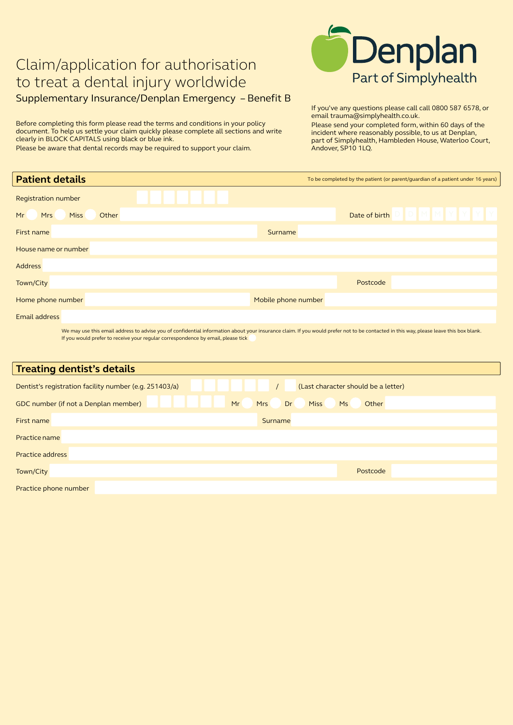## Claim/application for authorisation to treat a dental injury worldwide Supplementary Insurance/Denplan Emergency – Benefit B

Before completing this form please read the terms and conditions in your policy document. To help us settle your claim quickly please complete all sections and write clearly in BLOCK CAPITALS using black or blue ink.

Please be aware that dental records may be required to support your claim.



If you've any questions please call call 0800 587 6578, or email trauma@simplyhealth.co.uk.

Please send your completed form, within 60 days of the incident where reasonably possible, to us at Denplan, part of Simplyhealth, Hambleden House, Waterloo Court, Andover, SP10 1LQ.

| <b>Patient details</b>                   | To be completed by the patient (or parent/guardian of a patient under 16 years)                                                                                                     |
|------------------------------------------|-------------------------------------------------------------------------------------------------------------------------------------------------------------------------------------|
| <b>Registration number</b>               |                                                                                                                                                                                     |
| Other<br><b>Miss</b><br>Mr<br><b>Mrs</b> | Date of birth                                                                                                                                                                       |
| First name                               | Surname                                                                                                                                                                             |
| House name or number                     |                                                                                                                                                                                     |
| <b>Address</b>                           |                                                                                                                                                                                     |
| Town/City                                | Postcode                                                                                                                                                                            |
| Home phone number                        | Mobile phone number                                                                                                                                                                 |
| Email address                            |                                                                                                                                                                                     |
|                                          | We may use this email address to advise you of confidential information about your insurance claim. If you would prefer not to be contacted in this way please leave this hoy blank |

We may use this email address to advise you of confidential information about your insurance claim. If you would prefer not to be contacted in this way, please leave this box blank. If you would prefer to receive your regular correspondence by email, please tick

| <b>Treating dentist's details</b>                      |                                                |
|--------------------------------------------------------|------------------------------------------------|
| Dentist's registration facility number (e.g. 251403/a) | (Last character should be a letter)            |
| GDC number (if not a Denplan member)<br>Mr             | <b>Miss</b><br>Dr<br>Other<br><b>Mrs</b><br>Ms |
| First name                                             | Surname                                        |
| Practice name                                          |                                                |
| <b>Practice address</b>                                |                                                |
| Town/City                                              | Postcode                                       |
| Practice phone number                                  |                                                |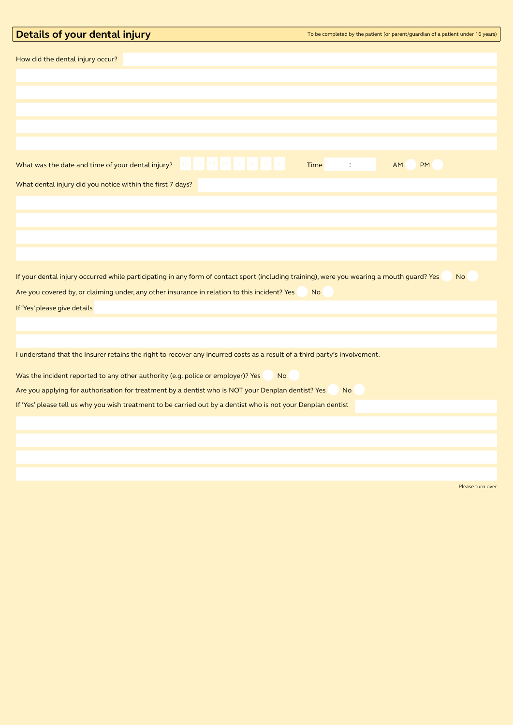| Details of your dental injury                                                                                                                                                                      | To be completed by the patient (or parent/guardian of a patient under 16 years) |
|----------------------------------------------------------------------------------------------------------------------------------------------------------------------------------------------------|---------------------------------------------------------------------------------|
| How did the dental injury occur?                                                                                                                                                                   |                                                                                 |
|                                                                                                                                                                                                    |                                                                                 |
|                                                                                                                                                                                                    |                                                                                 |
|                                                                                                                                                                                                    |                                                                                 |
|                                                                                                                                                                                                    |                                                                                 |
|                                                                                                                                                                                                    |                                                                                 |
| D   D   M   M   Y   Y   Y   Y  <br>What was the date and time of your dental injury?                                                                                                               | Time<br>$\ddot{\cdot}$<br>AM<br><b>PM</b>                                       |
| What dental injury did you notice within the first 7 days?                                                                                                                                         |                                                                                 |
|                                                                                                                                                                                                    |                                                                                 |
|                                                                                                                                                                                                    |                                                                                 |
|                                                                                                                                                                                                    |                                                                                 |
|                                                                                                                                                                                                    |                                                                                 |
| If your dental injury occurred while participating in any form of contact sport (including training), were you wearing a mouth guard? Yes                                                          | <b>No</b>                                                                       |
| Are you covered by, or claiming under, any other insurance in relation to this incident? Yes                                                                                                       | <b>No</b>                                                                       |
| If 'Yes' please give details                                                                                                                                                                       |                                                                                 |
|                                                                                                                                                                                                    |                                                                                 |
| I understand that the Insurer retains the right to recover any incurred costs as a result of a third party's involvement.                                                                          |                                                                                 |
|                                                                                                                                                                                                    |                                                                                 |
| Was the incident reported to any other authority (e.g. police or employer)? Yes<br><b>No</b><br>Are you applying for authorisation for treatment by a dentist who is NOT your Denplan dentist? Yes | <b>No</b>                                                                       |
| If 'Yes' please tell us why you wish treatment to be carried out by a dentist who is not your Denplan dentist                                                                                      |                                                                                 |
|                                                                                                                                                                                                    |                                                                                 |
|                                                                                                                                                                                                    |                                                                                 |
|                                                                                                                                                                                                    |                                                                                 |
|                                                                                                                                                                                                    |                                                                                 |
|                                                                                                                                                                                                    | Please turn over                                                                |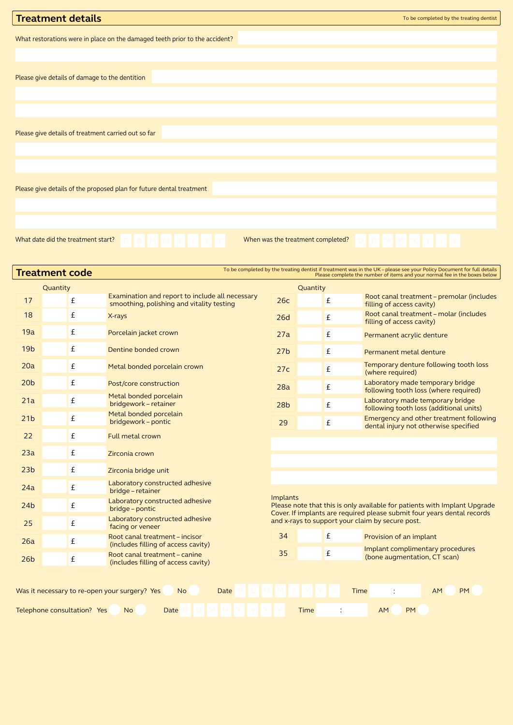| <b>Treatment details</b>                                                    | To be completed by the treating dentist |
|-----------------------------------------------------------------------------|-----------------------------------------|
|                                                                             |                                         |
| What restorations were in place on the damaged teeth prior to the accident? |                                         |
|                                                                             |                                         |
| Please give details of damage to the dentition                              |                                         |
|                                                                             |                                         |
|                                                                             |                                         |
| Please give details of treatment carried out so far                         |                                         |
|                                                                             |                                         |
|                                                                             |                                         |
| Please give details of the proposed plan for future dental treatment        |                                         |
|                                                                             |                                         |
|                                                                             |                                         |
| What date did the treatment start?                                          | When was the treatment completed?       |

| To be completed by the treating dentist if treatment was in the UK - please see your Policy Document for full details<br><b>Treatment code</b><br>Please complete the number of items and your normal fee in the boxes below |                             |  |                                                                                              |                 |          |                    |                                                                                                                             |
|------------------------------------------------------------------------------------------------------------------------------------------------------------------------------------------------------------------------------|-----------------------------|--|----------------------------------------------------------------------------------------------|-----------------|----------|--------------------|-----------------------------------------------------------------------------------------------------------------------------|
|                                                                                                                                                                                                                              | Quantity                    |  |                                                                                              |                 | Quantity |                    |                                                                                                                             |
| 17                                                                                                                                                                                                                           | £                           |  | Examination and report to include all necessary<br>smoothing, polishing and vitality testing | 26c             |          | £                  | Root canal treatment - premolar (includes<br>filling of access cavity)                                                      |
| 18                                                                                                                                                                                                                           | £                           |  | X-rays                                                                                       | <b>26d</b>      |          | £                  | Root canal treatment - molar (includes<br>filling of access cavity)                                                         |
| 19a                                                                                                                                                                                                                          | £                           |  | Porcelain jacket crown                                                                       | 27a             |          | £                  | Permanent acrylic denture                                                                                                   |
| 19 <sub>b</sub>                                                                                                                                                                                                              | £                           |  | Dentine bonded crown                                                                         | 27 <sub>b</sub> |          | £                  | Permanent metal denture                                                                                                     |
| 20a                                                                                                                                                                                                                          | £                           |  | Metal bonded porcelain crown                                                                 | 27c             |          | £                  | Temporary denture following tooth loss<br>(where required)                                                                  |
| 20 <sub>b</sub>                                                                                                                                                                                                              | £                           |  | Post/core construction                                                                       | 28a             |          | £                  | Laboratory made temporary bridge<br>following tooth loss (where required)                                                   |
| 21a                                                                                                                                                                                                                          | £                           |  | Metal bonded porcelain<br>bridgework - retainer                                              | 28 <sub>b</sub> |          | £                  | Laboratory made temporary bridge<br>following tooth loss (additional units)                                                 |
| 21 <sub>b</sub>                                                                                                                                                                                                              | £                           |  | Metal bonded porcelain<br>bridgework - pontic                                                | 29              |          | $\pmb{\mathsf{f}}$ | Emergency and other treatment following<br>dental injury not otherwise specified                                            |
| 22                                                                                                                                                                                                                           | £                           |  | Full metal crown                                                                             |                 |          |                    |                                                                                                                             |
| 23a                                                                                                                                                                                                                          | £                           |  | Zirconia crown                                                                               |                 |          |                    |                                                                                                                             |
| 23 <sub>b</sub>                                                                                                                                                                                                              | £                           |  | Zirconia bridge unit                                                                         |                 |          |                    |                                                                                                                             |
| 24a                                                                                                                                                                                                                          | £                           |  | Laboratory constructed adhesive<br>bridge - retainer                                         |                 |          |                    |                                                                                                                             |
| 24 <sub>b</sub>                                                                                                                                                                                                              | £                           |  | Laboratory constructed adhesive<br>bridge – pontic                                           | <b>Implants</b> |          |                    | Please note that this is only available for patients with Implant Upgrade                                                   |
| 25                                                                                                                                                                                                                           | £                           |  | Laboratory constructed adhesive<br>facing or veneer                                          |                 |          |                    | Cover. If implants are required please submit four years dental records<br>and x-rays to support your claim by secure post. |
| 26a                                                                                                                                                                                                                          | £                           |  | Root canal treatment - incisor<br>(includes filling of access cavity)                        | 34              |          | £                  | Provision of an implant                                                                                                     |
| 26 <sub>b</sub>                                                                                                                                                                                                              | £                           |  | Root canal treatment - canine<br>(includes filling of access cavity)                         | 35              |          | £                  | Implant complimentary procedures<br>(bone augmentation, CT scan)                                                            |
|                                                                                                                                                                                                                              |                             |  |                                                                                              |                 |          |                    |                                                                                                                             |
|                                                                                                                                                                                                                              |                             |  | Was it necessary to re-open your surgery? Yes<br>N <sub>o</sub><br>Date                      |                 |          | Time               | <b>AM</b><br><b>PM</b>                                                                                                      |
|                                                                                                                                                                                                                              | Telephone consultation? Yes |  | No.<br>Date                                                                                  |                 | Time     |                    | <b>PM</b><br><b>AM</b>                                                                                                      |